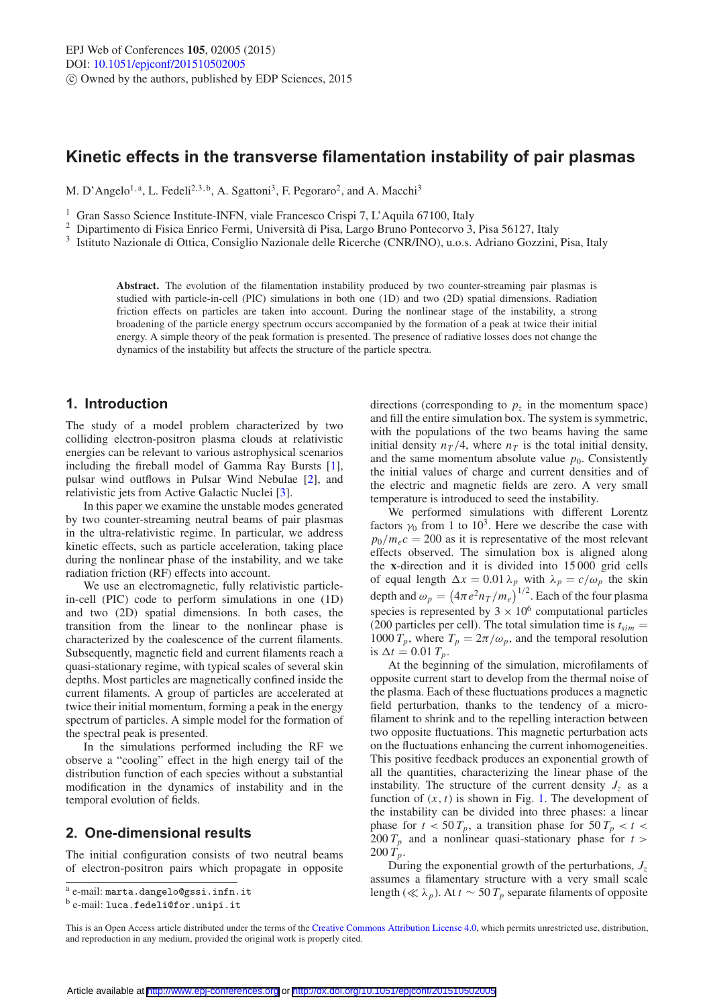# **Kinetic effects in the transverse filamentation instability of pair plasmas**

M. D'Angelo<sup>1, a</sup>, L. Fedeli<sup>2, 3, b</sup>, A. Sgattoni<sup>3</sup>, F. Pegoraro<sup>2</sup>, and A. Macchi<sup>3</sup>

<sup>1</sup> Gran Sasso Science Institute-INFN, viale Francesco Crispi 7, L'Aquila 67100, Italy <sup>2</sup> Dipartimento di Fisica Enrico Fermi, Università di Pisa, Largo Bruno Pontecorvo 3, Pisa 56127, Italy

<sup>3</sup> Istituto Nazionale di Ottica, Consiglio Nazionale delle Ricerche (CNR/INO), u.o.s. Adriano Gozzini, Pisa, Italy

**Abstract.** The evolution of the filamentation instability produced by two counter-streaming pair plasmas is studied with particle-in-cell (PIC) simulations in both one (1D) and two (2D) spatial dimensions. Radiation friction effects on particles are taken into account. During the nonlinear stage of the instability, a strong broadening of the particle energy spectrum occurs accompanied by the formation of a peak at twice their initial energy. A simple theory of the peak formation is presented. The presence of radiative losses does not change the dynamics of the instability but affects the structure of the particle spectra.

### **1. Introduction**

The study of a model problem characterized by two colliding electron-positron plasma clouds at relativistic energies can be relevant to various astrophysical scenarios including the fireball model of Gamma Ray Bursts [\[1\]](#page-3-0), pulsar wind outflows in Pulsar Wind Nebulae [\[2](#page-3-1)], and relativistic jets from Active Galactic Nuclei [\[3](#page-3-2)].

In this paper we examine the unstable modes generated by two counter-streaming neutral beams of pair plasmas in the ultra-relativistic regime. In particular, we address kinetic effects, such as particle acceleration, taking place during the nonlinear phase of the instability, and we take radiation friction (RF) effects into account.

We use an electromagnetic, fully relativistic particlein-cell (PIC) code to perform simulations in one (1D) and two (2D) spatial dimensions. In both cases, the transition from the linear to the nonlinear phase is characterized by the coalescence of the current filaments. Subsequently, magnetic field and current filaments reach a quasi-stationary regime, with typical scales of several skin depths. Most particles are magnetically confined inside the current filaments. A group of particles are accelerated at twice their initial momentum, forming a peak in the energy spectrum of particles. A simple model for the formation of the spectral peak is presented.

In the simulations performed including the RF we observe a "cooling" effect in the high energy tail of the distribution function of each species without a substantial modification in the dynamics of instability and in the temporal evolution of fields.

### **2. One-dimensional results**

The initial configuration consists of two neutral beams of electron-positron pairs which propagate in opposite directions (corresponding to  $p<sub>z</sub>$  in the momentum space) and fill the entire simulation box. The system is symmetric, with the populations of the two beams having the same initial density  $n_T/4$ , where  $n_T$  is the total initial density, and the same momentum absolute value  $p_0$ . Consistently the initial values of charge and current densities and of the electric and magnetic fields are zero. A very small temperature is introduced to seed the instability.

We performed simulations with different Lorentz factors  $\gamma_0$  from 1 to 10<sup>3</sup>. Here we describe the case with  $p_0/m_e c = 200$  as it is representative of the most relevant effects observed. The simulation box is aligned along the **x**-direction and it is divided into 15 000 grid cells of equal length  $\Delta x = 0.01 \lambda_p$  with  $\lambda_p = c/\omega_p$  the skin depth and  $\omega_p = \left(4\pi e^2 n_T/m_e\right)^{1/2}$ . Each of the four plasma species is represented by  $3 \times 10^6$  computational particles (200 particles per cell). The total simulation time is  $t_{sim}$  = 1000  $T_p$ , where  $T_p = 2\pi/\omega_p$ , and the temporal resolution is  $\Delta t = 0.01 T_p$ .

At the beginning of the simulation, microfilaments of opposite current start to develop from the thermal noise of the plasma. Each of these fluctuations produces a magnetic field perturbation, thanks to the tendency of a microfilament to shrink and to the repelling interaction between two opposite fluctuations. This magnetic perturbation acts on the fluctuations enhancing the current inhomogeneities. This positive feedback produces an exponential growth of all the quantities, characterizing the linear phase of the instability. The structure of the current density  $J_z$  as a function of  $(x, t)$  is shown in Fig. [1.](#page-1-0) The development of the instability can be divided into three phases: a linear phase for  $t < 50 T_p$ , a transition phase for  $50 T_p < t <$  $200 T_p$  and a nonlinear quasi-stationary phase for  $t >$  $200 T_p$ .

During the exponential growth of the perturbations,  $J_z$ assumes a filamentary structure with a very small scale length ( $\ll \lambda_p$ ). At *t* ∼ 50  $T_p$  separate filaments of opposite

<sup>a</sup> e-mail: marta.dangelo@gssi.infn.it

<sup>b</sup> e-mail: luca.fedeli@for.unipi.it

This is an Open Access article distributed under the terms of the [Creative Commons Attribution License 4.0,](http://creativecommons.org/licenses/by/4.0/) which permits unrestricted use, distribution, and reproduction in any medium, provided the original work is properly cited.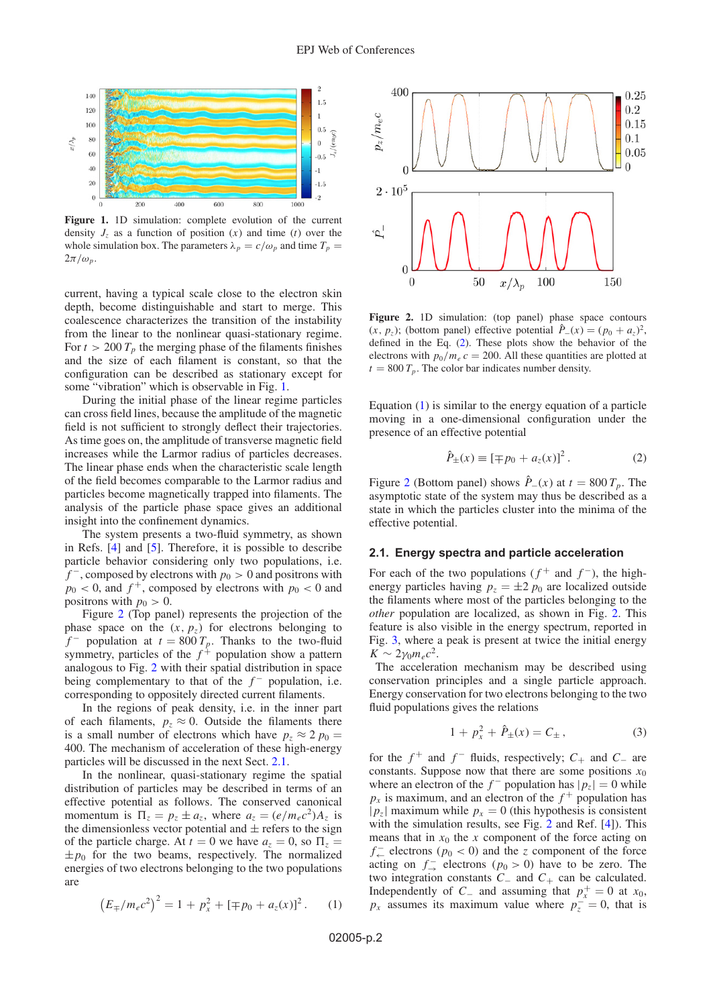<span id="page-1-0"></span>

**Figure 1.** 1D simulation: complete evolution of the current density  $J_z$  as a function of position  $(x)$  and time  $(t)$  over the whole simulation box. The parameters  $\lambda_p = c/\omega_p$  and time  $T_p =$  $2\pi/\omega_p$ .

current, having a typical scale close to the electron skin depth, become distinguishable and start to merge. This coalescence characterizes the transition of the instability from the linear to the nonlinear quasi-stationary regime. For  $t > 200 T_p$  the merging phase of the filaments finishes and the size of each filament is constant, so that the configuration can be described as stationary except for some "vibration" which is observable in Fig. [1.](#page-1-0)

During the initial phase of the linear regime particles can cross field lines, because the amplitude of the magnetic field is not sufficient to strongly deflect their trajectories. As time goes on, the amplitude of transverse magnetic field increases while the Larmor radius of particles decreases. The linear phase ends when the characteristic scale length of the field becomes comparable to the Larmor radius and particles become magnetically trapped into filaments. The analysis of the particle phase space gives an additional insight into the confinement dynamics.

The system presents a two-fluid symmetry, as shown in Refs. [\[4](#page-3-3)] and [\[5](#page-3-4)]. Therefore, it is possible to describe particle behavior considering only two populations, i.e.  $f^-$ , composed by electrons with  $p_0 > 0$  and positrons with  $p_0 < 0$ , and  $f^+$ , composed by electrons with  $p_0 < 0$  and positrons with  $p_0 > 0$ .

Figure [2](#page-1-1) (Top panel) represents the projection of the phase space on the  $(x, p_z)$  for electrons belonging to  $f^-$  population at  $t = 800 T_p$ . Thanks to the two-fluid symmetry, particles of the  $f<sup>+</sup>$  population show a pattern analogous to Fig. [2](#page-1-1) with their spatial distribution in space being complementary to that of the *f*<sup>−</sup> population, i.e. corresponding to oppositely directed current filaments.

In the regions of peak density, i.e. in the inner part of each filaments,  $p_z \approx 0$ . Outside the filaments there is a small number of electrons which have  $p_z \approx 2 p_0 =$ 400. The mechanism of acceleration of these high-energy particles will be discussed in the next Sect. [2.1.](#page-1-2)

In the nonlinear, quasi-stationary regime the spatial distribution of particles may be described in terms of an effective potential as follows. The conserved canonical momentum is  $\Pi_z = p_z \pm a_z$ , where  $a_z = (e/m_e c^2)A_z$  is the dimensionless vector potential and  $\pm$  refers to the sign of the particle charge. At  $t = 0$  we have  $a_z = 0$ , so  $\Pi_z =$  $\pm p_0$  for the two beams, respectively. The normalized energies of two electrons belonging to the two populations are

<span id="page-1-4"></span>
$$
\left(E_{\mp}/m_e c^2\right)^2 = 1 + p_x^2 + \left[\mp p_0 + a_z(x)\right]^2. \tag{1}
$$

<span id="page-1-1"></span>

**Figure 2.** 1D simulation: (top panel) phase space contours  $(x, p_z)$ ; (bottom panel) effective potential  $\hat{P}_-(x) = (p_0 + a_z)^2$ , defined in the Eq. [\(2\)](#page-1-3). These plots show the behavior of the electrons with  $p_0/m_e c = 200$ . All these quantities are plotted at  $t = 800 T_p$ . The color bar indicates number density.

Equation [\(1\)](#page-1-4) is similar to the energy equation of a particle moving in a one-dimensional configuration under the presence of an effective potential

<span id="page-1-3"></span>
$$
\hat{P}_{\pm}(x) \equiv [\mp p_0 + a_z(x)]^2.
$$
 (2)

Figure [2](#page-1-1) (Bottom panel) shows  $\hat{P}_{-(x)}$  at  $t = 800 T_p$ . The asymptotic state of the system may thus be described as a state in which the particles cluster into the minima of the effective potential.

#### <span id="page-1-2"></span>**2.1. Energy spectra and particle acceleration**

For each of the two populations ( $f^+$  and  $f^-$ ), the highenergy particles having  $p<sub>z</sub> = \pm 2 p<sub>0</sub>$  are localized outside the filaments where most of the particles belonging to the *other* population are localized, as shown in Fig. [2.](#page-1-1) This feature is also visible in the energy spectrum, reported in Fig. [3,](#page-2-0) where a peak is present at twice the initial energy  $K \sim 2\gamma_0 m_e c^2$ .

The acceleration mechanism may be described using conservation principles and a single particle approach. Energy conservation for two electrons belonging to the two fluid populations gives the relations

<span id="page-1-5"></span>
$$
1 + p_x^2 + \hat{P}_\pm(x) = C_\pm \,,\tag{3}
$$

for the  $f^+$  and  $f^-$  fluids, respectively;  $C_+$  and  $C_-$  are constants. Suppose now that there are some positions  $x_0$ where an electron of the  $f^-$  population has  $|p_z| = 0$  while  $p_x$  is maximum, and an electron of the  $f^+$  population has  $|p_z|$  maximum while  $p_x = 0$  (this hypothesis is consistent with the simulation results, see Fig. [2](#page-1-1) and Ref. [\[4](#page-3-3)]). This means that in  $x_0$  the *x* component of the force acting on *f*  $\frac{1}{\epsilon_0}$  electrons (*p*<sub>0</sub> < 0) and the *z* component of the force acting on  $f^-$  electrons ( $p_0 > 0$ ) have to be zero. The two integration constants *C*<sup>−</sup> and *C*<sup>+</sup> can be calculated. Independently of *C*<sub>−</sub> and assuming that  $p_x^+ = 0$  at  $x_0$ ,  $p_x$  assumes its maximum value where  $p_z^+ = 0$ , that is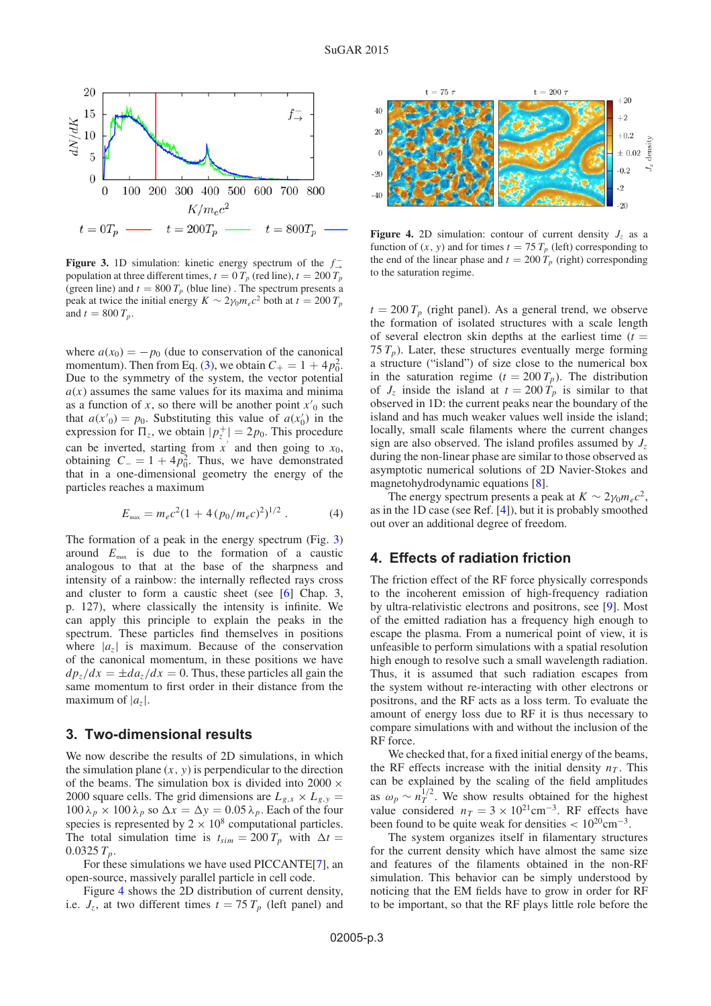<span id="page-2-0"></span>

**Figure 3.** 1D simulation: kinetic energy spectrum of the *f* <sup>−</sup> population at three different times,  $t = 0$   $T_p$  (red line),  $t = 200$   $T_p$ (green line) and  $t = 800 T_p$  (blue line). The spectrum presents a peak at twice the initial energy  $K \sim 2\gamma_0 m_e c^2$  both at  $t = 200 T_p$ and  $t = 800 T_p$ .

where  $a(x_0) = -p_0$  (due to conservation of the canonical momentum). Then from Eq. [\(3\)](#page-1-5), we obtain  $C_+ = 1 + 4p_0^2$ . Due to the symmetry of the system, the vector potential  $a(x)$  assumes the same values for its maxima and minima as a function of *x*, so there will be another point  $x'_0$  such that  $a(x') = p_0$ . Substituting this value of  $a(x'_0)$  in the expression for  $\Pi_z$ , we obtain  $|p_z^+| = 2p_0$ . This procedure can be inverted, starting from  $x'$  and then going to  $x_0$ , obtaining  $C_ = 1 + 4p_0^2$ . Thus, we have demonstrated that in a one-dimensional geometry the energy of the particles reaches a maximum

$$
E_{\text{max}} = m_e c^2 (1 + 4 (p_0 / m_e c)^2)^{1/2} . \tag{4}
$$

The formation of a peak in the energy spectrum (Fig. [3\)](#page-2-0) around  $E_{\text{max}}$  is due to the formation of a caustic analogous to that at the base of the sharpness and intensity of a rainbow: the internally reflected rays cross and cluster to form a caustic sheet (see [\[6](#page-3-5)] Chap. 3, p. 127), where classically the intensity is infinite. We can apply this principle to explain the peaks in the spectrum. These particles find themselves in positions where  $|a_7|$  is maximum. Because of the conservation of the canonical momentum, in these positions we have  $dp_z/dx = \pm da_z/dx = 0$ . Thus, these particles all gain the same momentum to first order in their distance from the maximum of  $|a_7|$ .

#### **3. Two-dimensional results**

We now describe the results of 2D simulations, in which the simulation plane  $(x, y)$  is perpendicular to the direction of the beams. The simulation box is divided into 2000  $\times$ 2000 square cells. The grid dimensions are  $L_{g.x} \times L_{g.y} =$  $100 \lambda_p \times 100 \lambda_p$  so  $\Delta x = \Delta y = 0.05 \lambda_p$ . Each of the four species is represented by  $2 \times 10^8$  computational particles. The total simulation time is  $t_{sim} = 200 T_p$  with  $\Delta t =$  $0.0325 T_p$ .

For these simulations we have used PICCANTE[\[7\]](#page-3-6), an open-source, massively parallel particle in cell code.

Figure [4](#page-2-1) shows the 2D distribution of current density, i.e.  $J_z$ , at two different times  $t = 75 T_p$  (left panel) and

<span id="page-2-1"></span>

**Figure 4.** 2D simulation: contour of current density  $J_z$  as a function of  $(x, y)$  and for times  $t = 75 T_p$  (left) corresponding to the end of the linear phase and  $t = 200 T_p$  (right) corresponding to the saturation regime.

 $t = 200 T_p$  (right panel). As a general trend, we observe the formation of isolated structures with a scale length of several electron skin depths at the earliest time  $(t =$ 75  $T_p$ ). Later, these structures eventually merge forming a structure ("island") of size close to the numerical box in the saturation regime  $(t = 200 T_p)$ . The distribution of  $J_z$  inside the island at  $t = 200 T_p$  is similar to that observed in 1D: the current peaks near the boundary of the island and has much weaker values well inside the island; locally, small scale filaments where the current changes sign are also observed. The island profiles assumed by  $J_z$ during the non-linear phase are similar to those observed as asymptotic numerical solutions of 2D Navier-Stokes and magnetohydrodynamic equations [\[8](#page-3-7)].

The energy spectrum presents a peak at  $K \sim 2 \gamma_0 m_e c^2$ , as in the 1D case (see Ref. [\[4\]](#page-3-3)), but it is probably smoothed out over an additional degree of freedom.

## **4. Effects of radiation friction**

The friction effect of the RF force physically corresponds to the incoherent emission of high-frequency radiation by ultra-relativistic electrons and positrons, see [\[9\]](#page-3-8). Most of the emitted radiation has a frequency high enough to escape the plasma. From a numerical point of view, it is unfeasible to perform simulations with a spatial resolution high enough to resolve such a small wavelength radiation. Thus, it is assumed that such radiation escapes from the system without re-interacting with other electrons or positrons, and the RF acts as a loss term. To evaluate the amount of energy loss due to RF it is thus necessary to compare simulations with and without the inclusion of the RF force.

We checked that, for a fixed initial energy of the beams, the RF effects increase with the initial density  $n<sub>T</sub>$ . This can be explained by the scaling of the field amplitudes as  $\omega_p \sim n_T^{1/2}$ . We show results obtained for the highest value considered  $n_T = 3 \times 10^{21} \text{cm}^{-3}$ . RF effects have been found to be quite weak for densities  $\langle 10^{20} \text{cm}^{-3}$ .

The system organizes itself in filamentary structures for the current density which have almost the same size and features of the filaments obtained in the non-RF simulation. This behavior can be simply understood by noticing that the EM fields have to grow in order for RF to be important, so that the RF plays little role before the